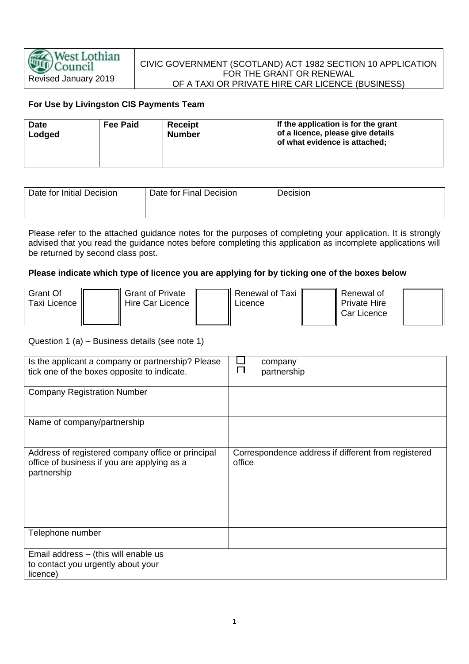## CIVIC GOVERNMENT (SCOTLAND) ACT 1982 SECTION 10 APPLICATION FOR THE GRANT OR RENEWAL OF A TAXI OR PRIVATE HIRE CAR LICENCE (BUSINESS)

# **For Use by Livingston CIS Payments Team**

| <b>Date</b><br>Lodged | <b>Fee Paid</b> | Receipt<br><b>Number</b> | If the application is for the grant<br>of a licence, please give details<br>of what evidence is attached; |
|-----------------------|-----------------|--------------------------|-----------------------------------------------------------------------------------------------------------|
|-----------------------|-----------------|--------------------------|-----------------------------------------------------------------------------------------------------------|

| Date for Initial Decision | Date for Final Decision | Decision |
|---------------------------|-------------------------|----------|
|                           |                         |          |

Please refer to the attached guidance notes for the purposes of completing your application. It is strongly advised that you read the guidance notes before completing this application as incomplete applications will be returned by second class post.

#### **Please indicate which type of licence you are applying for by ticking one of the boxes below**

| Grant Of     | <b>Grant of Private</b> | Renewal of Taxi | Renewal of               |  |
|--------------|-------------------------|-----------------|--------------------------|--|
| Taxi Licence | Hire Car Licence        | ∟icence         | <b>Private Hire</b>      |  |
|              |                         |                 | <sup>1</sup> Car Licence |  |
|              |                         |                 |                          |  |

### Question 1 (a) – Business details (see note 1)

| Is the applicant a company or partnership? Please<br>tick one of the boxes opposite to indicate.                | company<br>partnership                                        |
|-----------------------------------------------------------------------------------------------------------------|---------------------------------------------------------------|
| <b>Company Registration Number</b>                                                                              |                                                               |
| Name of company/partnership                                                                                     |                                                               |
| Address of registered company office or principal<br>office of business if you are applying as a<br>partnership | Correspondence address if different from registered<br>office |
| Telephone number                                                                                                |                                                               |
| Email address - (this will enable us<br>to contact you urgently about your<br>licence)                          |                                                               |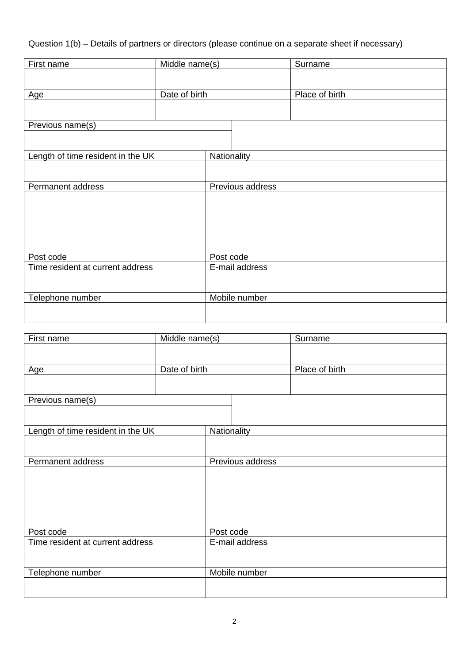Question 1(b) – Details of partners or directors (please continue on a separate sheet if necessary)

| First name                        | Middle name(s) |                  |  | Surname        |
|-----------------------------------|----------------|------------------|--|----------------|
|                                   |                |                  |  |                |
|                                   |                |                  |  |                |
| Age                               | Date of birth  |                  |  | Place of birth |
|                                   |                |                  |  |                |
| Previous name(s)                  |                |                  |  |                |
|                                   |                |                  |  |                |
| Length of time resident in the UK |                | Nationality      |  |                |
|                                   |                |                  |  |                |
| Permanent address                 |                | Previous address |  |                |
|                                   |                |                  |  |                |
|                                   |                |                  |  |                |
|                                   |                |                  |  |                |
|                                   |                |                  |  |                |
|                                   |                |                  |  |                |
|                                   |                |                  |  |                |
| Post code                         |                | Post code        |  |                |
| Time resident at current address  |                | E-mail address   |  |                |
|                                   |                |                  |  |                |
| Telephone number                  |                | Mobile number    |  |                |
|                                   |                |                  |  |                |
|                                   |                |                  |  |                |

| First name                        | Middle name(s) |                  |               | Surname        |
|-----------------------------------|----------------|------------------|---------------|----------------|
|                                   |                |                  |               |                |
|                                   |                |                  |               |                |
| Age                               | Date of birth  |                  |               | Place of birth |
|                                   |                |                  |               |                |
| Previous name(s)                  |                |                  |               |                |
|                                   |                |                  |               |                |
|                                   |                |                  |               |                |
| Length of time resident in the UK |                | Nationality      |               |                |
|                                   |                |                  |               |                |
| Permanent address                 |                | Previous address |               |                |
|                                   |                |                  |               |                |
|                                   |                |                  |               |                |
|                                   |                |                  |               |                |
|                                   |                |                  |               |                |
|                                   |                |                  |               |                |
| Post code                         |                | Post code        |               |                |
| Time resident at current address  |                | E-mail address   |               |                |
|                                   |                |                  |               |                |
|                                   |                |                  |               |                |
| Telephone number                  |                |                  | Mobile number |                |
|                                   |                |                  |               |                |
|                                   |                |                  |               |                |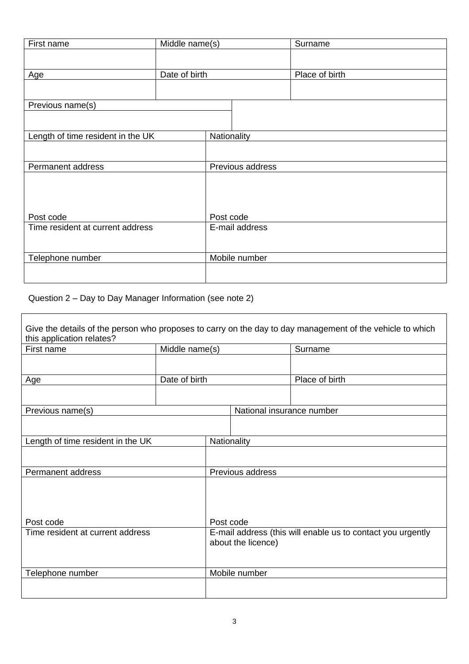| First name                        | Middle name(s) |                  |  | Surname        |  |
|-----------------------------------|----------------|------------------|--|----------------|--|
|                                   |                |                  |  |                |  |
|                                   |                |                  |  |                |  |
| <b>Age</b>                        | Date of birth  |                  |  | Place of birth |  |
|                                   |                |                  |  |                |  |
| Previous name(s)                  |                |                  |  |                |  |
|                                   |                |                  |  |                |  |
|                                   |                |                  |  |                |  |
| Length of time resident in the UK |                | Nationality      |  |                |  |
|                                   |                |                  |  |                |  |
|                                   |                | Previous address |  |                |  |
| Permanent address                 |                |                  |  |                |  |
|                                   |                |                  |  |                |  |
|                                   |                |                  |  |                |  |
|                                   |                |                  |  |                |  |
| Post code                         |                | Post code        |  |                |  |
| Time resident at current address  |                | E-mail address   |  |                |  |
|                                   |                |                  |  |                |  |
|                                   |                |                  |  |                |  |
| Telephone number                  |                | Mobile number    |  |                |  |
|                                   |                |                  |  |                |  |
|                                   |                |                  |  |                |  |

Question 2 – Day to Day Manager Information (see note 2)

| this application relates?         |                |                                                                                   |                           | Give the details of the person who proposes to carry on the day to day management of the vehicle to which |
|-----------------------------------|----------------|-----------------------------------------------------------------------------------|---------------------------|-----------------------------------------------------------------------------------------------------------|
| First name                        | Middle name(s) |                                                                                   |                           | Surname                                                                                                   |
|                                   |                |                                                                                   |                           |                                                                                                           |
| Age                               | Date of birth  |                                                                                   |                           | Place of birth                                                                                            |
|                                   |                |                                                                                   |                           |                                                                                                           |
| Previous name(s)                  |                |                                                                                   | National insurance number |                                                                                                           |
|                                   |                |                                                                                   |                           |                                                                                                           |
| Length of time resident in the UK |                | Nationality                                                                       |                           |                                                                                                           |
|                                   |                |                                                                                   |                           |                                                                                                           |
| Permanent address                 |                |                                                                                   | Previous address          |                                                                                                           |
| Post code                         |                | Post code                                                                         |                           |                                                                                                           |
| Time resident at current address  |                | E-mail address (this will enable us to contact you urgently<br>about the licence) |                           |                                                                                                           |
| Telephone number                  |                | Mobile number                                                                     |                           |                                                                                                           |
|                                   |                |                                                                                   |                           |                                                                                                           |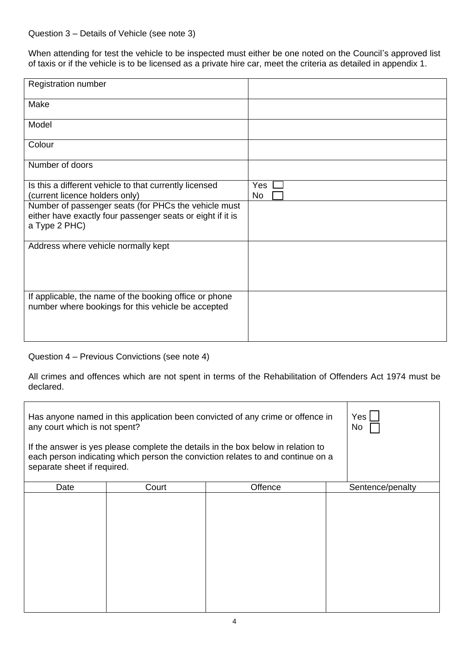### Question 3 – Details of Vehicle (see note 3)

When attending for test the vehicle to be inspected must either be one noted on the Council's approved list of taxis or if the vehicle is to be licensed as a private hire car, meet the criteria as detailed in appendix 1.

| Registration number                                                                                                |            |
|--------------------------------------------------------------------------------------------------------------------|------------|
| Make                                                                                                               |            |
| Model                                                                                                              |            |
| Colour                                                                                                             |            |
| Number of doors                                                                                                    |            |
| Is this a different vehicle to that currently licensed<br>(current licence holders only)                           | Yes<br>No. |
| Number of passenger seats (for PHCs the vehicle must<br>either have exactly four passenger seats or eight if it is |            |
| a Type 2 PHC)                                                                                                      |            |
| Address where vehicle normally kept                                                                                |            |
|                                                                                                                    |            |
| If applicable, the name of the booking office or phone                                                             |            |
| number where bookings for this vehicle be accepted                                                                 |            |
|                                                                                                                    |            |

#### Question 4 – Previous Convictions (see note 4)

All crimes and offences which are not spent in terms of the Rehabilitation of Offenders Act 1974 must be declared.

| Has anyone named in this application been convicted of any crime or offence in<br>Yes<br>any court which is not spent?<br>No.<br>If the answer is yes please complete the details in the box below in relation to<br>each person indicating which person the conviction relates to and continue on a<br>separate sheet if required. |       |         |                  |  |
|-------------------------------------------------------------------------------------------------------------------------------------------------------------------------------------------------------------------------------------------------------------------------------------------------------------------------------------|-------|---------|------------------|--|
| Date                                                                                                                                                                                                                                                                                                                                | Court | Offence | Sentence/penalty |  |
|                                                                                                                                                                                                                                                                                                                                     |       |         |                  |  |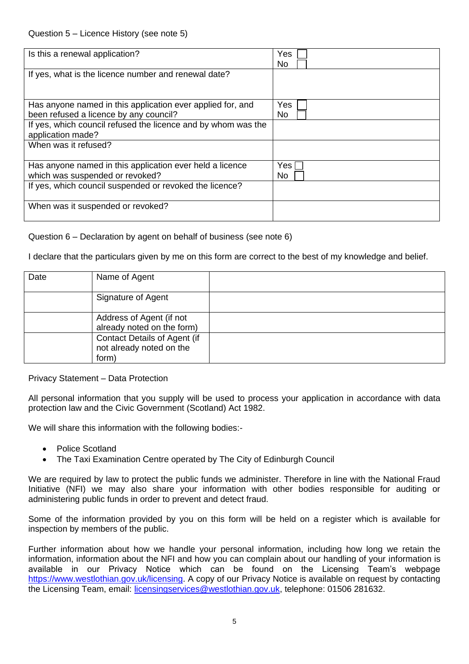| Is this a renewal application?                                                                       | Yes<br>No.         |
|------------------------------------------------------------------------------------------------------|--------------------|
| If yes, what is the licence number and renewal date?                                                 |                    |
| Has anyone named in this application ever applied for, and<br>been refused a licence by any council? | Yes<br>No.         |
| If yes, which council refused the licence and by whom was the<br>application made?                   |                    |
| When was it refused?                                                                                 |                    |
| Has anyone named in this application ever held a licence<br>which was suspended or revoked?          | Yes $\Gamma$<br>No |
| If yes, which council suspended or revoked the licence?                                              |                    |
| When was it suspended or revoked?                                                                    |                    |

#### Question 6 – Declaration by agent on behalf of business (see note 6)

I declare that the particulars given by me on this form are correct to the best of my knowledge and belief.

| Date | Name of Agent                                                            |  |
|------|--------------------------------------------------------------------------|--|
|      | Signature of Agent                                                       |  |
|      | Address of Agent (if not<br>already noted on the form)                   |  |
|      | <b>Contact Details of Agent (if</b><br>not already noted on the<br>form) |  |

Privacy Statement – Data Protection

All personal information that you supply will be used to process your application in accordance with data protection law and the Civic Government (Scotland) Act 1982.

We will share this information with the following bodies:-

- Police Scotland
- The Taxi Examination Centre operated by The City of Edinburgh Council

We are required by law to protect the public funds we administer. Therefore in line with the National Fraud Initiative (NFI) we may also share your information with other bodies responsible for auditing or administering public funds in order to prevent and detect fraud.

Some of the information provided by you on this form will be held on a register which is available for inspection by members of the public.

Further information about how we handle your personal information, including how long we retain the information, information about the NFI and how you can complain about our handling of your information is available in our Privacy Notice which can be found on the Licensing Team's webpage [https://www.westlothian.gov.uk/licensing.](https://www.westlothian.gov.uk/licensing) A copy of our Privacy Notice is available on request by contacting the Licensing Team, email: [licensingservices@westlothian.gov.uk,](mailto:licensingservices@westlothian.gov.uk) telephone: 01506 281632.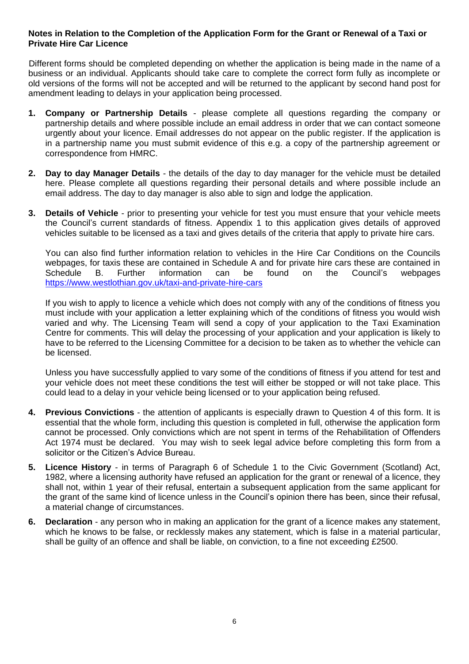## **Notes in Relation to the Completion of the Application Form for the Grant or Renewal of a Taxi or Private Hire Car Licence**

 Different forms should be completed depending on whether the application is being made in the name of a business or an individual. Applicants should take care to complete the correct form fully as incomplete or old versions of the forms will not be accepted and will be returned to the applicant by second hand post for amendment leading to delays in your application being processed.

- **1. Company or Partnership Details** please complete all questions regarding the company or partnership details and where possible include an email address in order that we can contact someone urgently about your licence. Email addresses do not appear on the public register. If the application is in a partnership name you must submit evidence of this e.g. a copy of the partnership agreement or correspondence from HMRC.
- **2. Day to day Manager Details** the details of the day to day manager for the vehicle must be detailed here. Please complete all questions regarding their personal details and where possible include an email address. The day to day manager is also able to sign and lodge the application.
- **3. Details of Vehicle** prior to presenting your vehicle for test you must ensure that your vehicle meets the Council's current standards of fitness. Appendix 1 to this application gives details of approved vehicles suitable to be licensed as a taxi and gives details of the criteria that apply to private hire cars.

You can also find further information relation to vehicles in the Hire Car Conditions on the Councils webpages, for taxis these are contained in Schedule A and for private hire cars these are contained in<br>Schedule B. Further information can be found on the Council's webpages Schedule B. Further information can be found on the Council's webpages <https://www.westlothian.gov.uk/taxi-and-private-hire-cars>

If you wish to apply to licence a vehicle which does not comply with any of the conditions of fitness you must include with your application a letter explaining which of the conditions of fitness you would wish varied and why. The Licensing Team will send a copy of your application to the Taxi Examination Centre for comments. This will delay the processing of your application and your application is likely to have to be referred to the Licensing Committee for a decision to be taken as to whether the vehicle can be licensed.

Unless you have successfully applied to vary some of the conditions of fitness if you attend for test and your vehicle does not meet these conditions the test will either be stopped or will not take place. This could lead to a delay in your vehicle being licensed or to your application being refused.

- **4. Previous Convictions** the attention of applicants is especially drawn to Question 4 of this form. It is essential that the whole form, including this question is completed in full, otherwise the application form cannot be processed. Only convictions which are not spent in terms of the Rehabilitation of Offenders Act 1974 must be declared. You may wish to seek legal advice before completing this form from a solicitor or the Citizen's Advice Bureau.
- **5. Licence History** in terms of Paragraph 6 of Schedule 1 to the Civic Government (Scotland) Act, 1982, where a licensing authority have refused an application for the grant or renewal of a licence, they shall not, within 1 year of their refusal, entertain a subsequent application from the same applicant for the grant of the same kind of licence unless in the Council's opinion there has been, since their refusal, a material change of circumstances.
- **6. Declaration** any person who in making an application for the grant of a licence makes any statement, which he knows to be false, or recklessly makes any statement, which is false in a material particular, shall be guilty of an offence and shall be liable, on conviction, to a fine not exceeding £2500.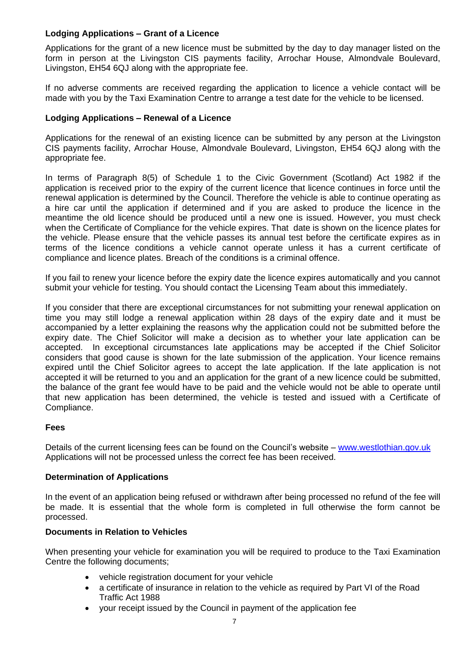## **Lodging Applications – Grant of a Licence**

Applications for the grant of a new licence must be submitted by the day to day manager listed on the form in person at the Livingston CIS payments facility, Arrochar House, Almondvale Boulevard, Livingston, EH54 6QJ along with the appropriate fee.

If no adverse comments are received regarding the application to licence a vehicle contact will be made with you by the Taxi Examination Centre to arrange a test date for the vehicle to be licensed.

#### **Lodging Applications – Renewal of a Licence**

Applications for the renewal of an existing licence can be submitted by any person at the Livingston CIS payments facility, Arrochar House, Almondvale Boulevard, Livingston, EH54 6QJ along with the appropriate fee.

In terms of Paragraph 8(5) of Schedule 1 to the Civic Government (Scotland) Act 1982 if the application is received prior to the expiry of the current licence that licence continues in force until the renewal application is determined by the Council. Therefore the vehicle is able to continue operating as a hire car until the application if determined and if you are asked to produce the licence in the meantime the old licence should be produced until a new one is issued. However, you must check when the Certificate of Compliance for the vehicle expires. That date is shown on the licence plates for the vehicle. Please ensure that the vehicle passes its annual test before the certificate expires as in terms of the licence conditions a vehicle cannot operate unless it has a current certificate of compliance and licence plates. Breach of the conditions is a criminal offence.

If you fail to renew your licence before the expiry date the licence expires automatically and you cannot submit your vehicle for testing. You should contact the Licensing Team about this immediately.

If you consider that there are exceptional circumstances for not submitting your renewal application on time you may still lodge a renewal application within 28 days of the expiry date and it must be accompanied by a letter explaining the reasons why the application could not be submitted before the expiry date. The Chief Solicitor will make a decision as to whether your late application can be accepted. In exceptional circumstances late applications may be accepted if the Chief Solicitor considers that good cause is shown for the late submission of the application. Your licence remains expired until the Chief Solicitor agrees to accept the late application. If the late application is not accepted it will be returned to you and an application for the grant of a new licence could be submitted, the balance of the grant fee would have to be paid and the vehicle would not be able to operate until that new application has been determined, the vehicle is tested and issued with a Certificate of Compliance.

#### **Fees**

Details of the current licensing fees can be found on the Council's website – [www.westlothian.gov.uk](http://www.westlothian.gov.uk/) Applications will not be processed unless the correct fee has been received.

#### **Determination of Applications**

In the event of an application being refused or withdrawn after being processed no refund of the fee will be made. It is essential that the whole form is completed in full otherwise the form cannot be processed.

# **Documents in Relation to Vehicles**

When presenting your vehicle for examination you will be required to produce to the Taxi Examination Centre the following documents;

- vehicle registration document for your vehicle
- a certificate of insurance in relation to the vehicle as required by Part VI of the Road Traffic Act 1988
- your receipt issued by the Council in payment of the application fee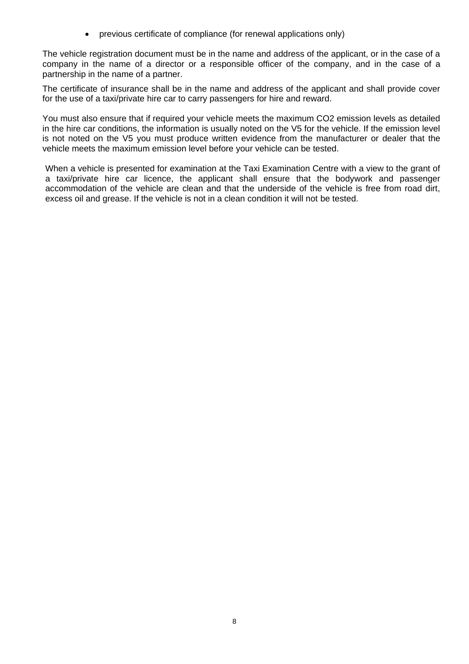• previous certificate of compliance (for renewal applications only)

The vehicle registration document must be in the name and address of the applicant, or in the case of a company in the name of a director or a responsible officer of the company, and in the case of a partnership in the name of a partner.

The certificate of insurance shall be in the name and address of the applicant and shall provide cover for the use of a taxi/private hire car to carry passengers for hire and reward.

You must also ensure that if required your vehicle meets the maximum CO2 emission levels as detailed in the hire car conditions, the information is usually noted on the V5 for the vehicle. If the emission level is not noted on the V5 you must produce written evidence from the manufacturer or dealer that the vehicle meets the maximum emission level before your vehicle can be tested.

When a vehicle is presented for examination at the Taxi Examination Centre with a view to the grant of a taxi/private hire car licence, the applicant shall ensure that the bodywork and passenger accommodation of the vehicle are clean and that the underside of the vehicle is free from road dirt, excess oil and grease. If the vehicle is not in a clean condition it will not be tested.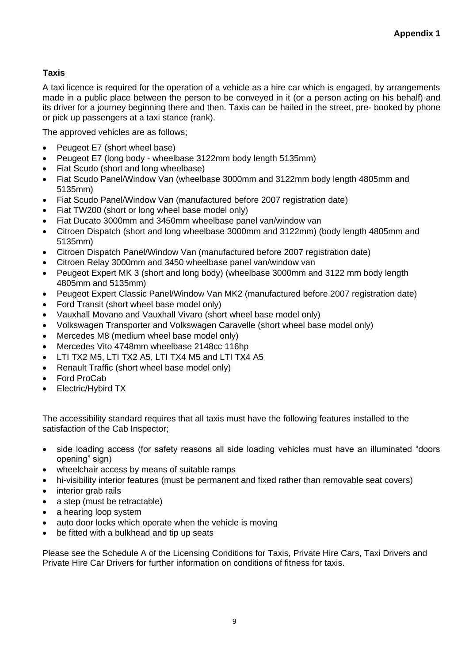# **Taxis**

A taxi licence is required for the operation of a vehicle as a hire car which is engaged, by arrangements made in a public place between the person to be conveyed in it (or a person acting on his behalf) and its driver for a journey beginning there and then. Taxis can be hailed in the street, pre- booked by phone or pick up passengers at a taxi stance (rank).

The approved vehicles are as follows;

- Peugeot E7 (short wheel base)
- Peugeot E7 (long body wheelbase 3122mm body length 5135mm)
- Fiat Scudo (short and long wheelbase)
- Fiat Scudo Panel/Window Van (wheelbase 3000mm and 3122mm body length 4805mm and 5135mm)
- Fiat Scudo Panel/Window Van (manufactured before 2007 registration date)
- Fiat TW200 (short or long wheel base model only)
- Fiat Ducato 3000mm and 3450mm wheelbase panel van/window van
- Citroen Dispatch (short and long wheelbase 3000mm and 3122mm) (body length 4805mm and 5135mm)
- Citroen Dispatch Panel/Window Van (manufactured before 2007 registration date)
- Citroen Relay 3000mm and 3450 wheelbase panel van/window van
- Peugeot Expert MK 3 (short and long body) (wheelbase 3000mm and 3122 mm body length 4805mm and 5135mm)
- Peugeot Expert Classic Panel/Window Van MK2 (manufactured before 2007 registration date)
- Ford Transit (short wheel base model only)
- Vauxhall Movano and Vauxhall Vivaro (short wheel base model only)
- Volkswagen Transporter and Volkswagen Caravelle (short wheel base model only)
- Mercedes M8 (medium wheel base model only)
- Mercedes Vito 4748mm wheelbase 2148cc 116hp
- LTI TX2 M5, LTI TX2 A5, LTI TX4 M5 and LTI TX4 A5
- Renault Traffic (short wheel base model only)
- Ford ProCab
- Electric/Hybird TX

The accessibility standard requires that all taxis must have the following features installed to the satisfaction of the Cab Inspector;

- side loading access (for safety reasons all side loading vehicles must have an illuminated "doors opening" sign)
- wheelchair access by means of suitable ramps
- hi-visibility interior features (must be permanent and fixed rather than removable seat covers)
- interior grab rails
- a step (must be retractable)
- a hearing loop system
- auto door locks which operate when the vehicle is moving
- be fitted with a bulkhead and tip up seats

Please see the Schedule A of the Licensing Conditions for Taxis, Private Hire Cars, Taxi Drivers and Private Hire Car Drivers for further information on conditions of fitness for taxis.